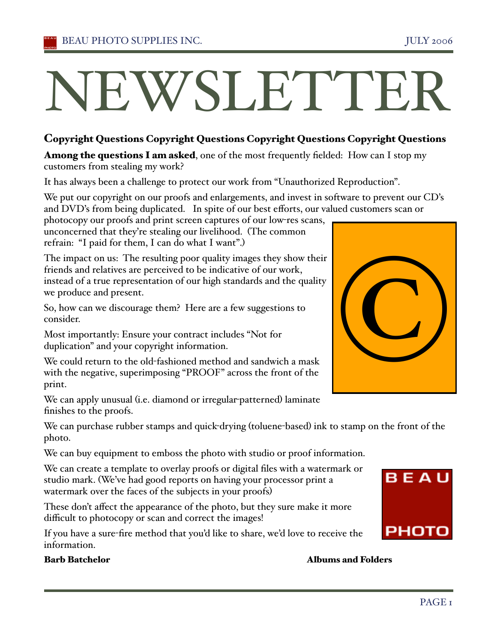# NEWSLETTEI

# Copyright Questions Copyright Questions Copyright Questions Copyright Questions

Among the questions I am asked, one of the most frequently fielded: How can I stop my customers from stealing my work?

It has always been a challenge to protect our work from "Unauthorized Reproduction".

We put our copyright on our proofs and enlargements, and invest in software to prevent our CD's and DVD's from being duplicated. In spite of our best efforts, our valued customers scan or

photocopy our proofs and print screen captures of our low-res scans, unconcerned that they're stealing our livelihood. (The common refrain: "I paid for them, I can do what I want".)

The impact on us: The resulting poor quality images they show their friends and relatives are perceived to be indicative of our work, instead of a true representation of our high standards and the quality we produce and present.

So, how can we discourage them? Here are a few suggestions to consider.

Most importantly: Ensure your contract includes "Not for duplication" and your copyright information.

We could return to the old-fashioned method and sandwich a mask with the negative, superimposing "PROOF" across the front of the print.

We can apply unusual (i.e. diamond or irregular-patterned) laminate finishes to the proofs.

We can purchase rubber stamps and quick-drying (toluene-based) ink to stamp on the front of the photo.

We can buy equipment to emboss the photo with studio or proof information.

We can create a template to overlay proofs or digital files with a watermark or studio mark. (We've had good reports on having your processor print a watermark over the faces of the subjects in your proofs)

These don't affect the appearance of the photo, but they sure make it more difficult to photocopy or scan and correct the images!

If you have a sure-fire method that you'd like to share, we'd love to receive the information.

# Barb Batchelor Albums and Folders



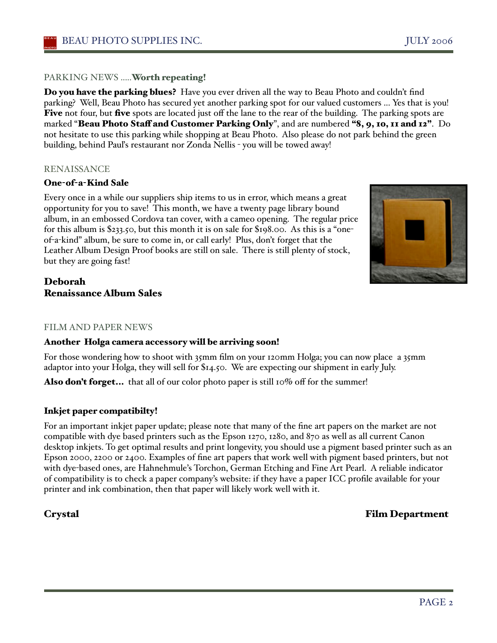# PARKING NEWS .....Worth repeating!

**Do you have the parking blues?** Have you ever driven all the way to Beau Photo and couldn't find parking? Well, Beau Photo has secured yet another parking spot for our valued customers ... Yes that is you! Five not four, but five spots are located just off the lane to the rear of the building. The parking spots are marked "Beau Photo Staff and Customer Parking Only", and are numbered "8, 9, 10, 11 and 12". Do not hesitate to use this parking while shopping at Beau Photo. Also please do not park behind the green building, behind Pauľs restaurant nor Zonda Nellis - you will be towed away!

# RENAISSANCE

# One-of-a-Kind Sale

Every once in a while our suppliers ship items to us in error, which means a great opportunity for you to save! This month, we have a twenty page library bound album, in an embossed Cordova tan cover, with a cameo opening. The regular price for this album is \$233.50, but this month it is on sale for \$198.00. As this is a "oneof-a-kind" album, be sure to come in, or call early! Plus, don't forget that the Leather Album Design Proof books are still on sale. There is still plenty of stock, but they are going fast!



# Deborah Renaissance Album Sales

# FILM AND PAPER NEWS

# Another Holga camera accessory will be arriving soon!

For those wondering how to shoot with 35mm film on your 120mm Holga; you can now place a 35mm adaptor into your Holga, they will sell for \$14.50. We are expecting our shipment in early July.

Also don't forget... that all of our color photo paper is still 10% off for the summer!

# Inkjet paper compatibilty!

For an important inkjet paper update; please note that many of the fine art papers on the market are not compatible with dye based printers such as the Epson 1270, 1280, and 870 as well as all current Canon desktop inkjets. To get optimal results and print longevity, you should use a pigment based printer such as an Epson 2000, 2200 or 2400. Examples of fine art papers that work well with pigment based printers, but not with dye-based ones, are Hahnehmule's Torchon, German Etching and Fine Art Pearl. A reliable indicator of compatibility is to check a paper company's website: if they have a paper ICC profile available for your printer and ink combination, then that paper will likely work well with it.

# Crystal Film Department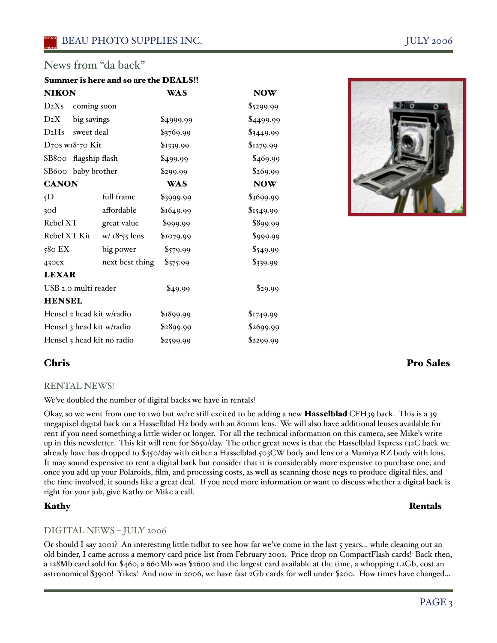# News from "da back"

# Summer is here and so are the DEALS!!

| <b>NIKON</b>               |                 | <b>WAS</b> | <b>NOW</b> |
|----------------------------|-----------------|------------|------------|
| $D_2X_s$                   | coming soon     |            | \$5299.99  |
| $D_2X$                     | big savings     | \$4999.99  | \$4499.99  |
| $D_2Hs$                    | sweet deal      | \$3769.99  | \$3449.99  |
| D70s w18-70 Kit            |                 | \$1339.99  | \$1279.99  |
| SB800                      | flagship flash  | \$499.99   | \$469.99   |
| SB600                      | baby brother    | \$299.99   | \$269.99   |
| <b>CANON</b>               |                 | <b>WAS</b> | <b>NOW</b> |
| 5D                         | full frame      | \$3999.99  | \$3699.99  |
| 30d                        | affordable      | \$1649.99  | \$1549.99  |
| Rebel XT                   | great value     | \$999.99   | \$899.99   |
| Rebel XT Kit               | $w/18-55$ lens  | \$1079.99  | \$999.99   |
| 580 EX                     | big power       | \$579.99   | \$549.99   |
| 430ex                      | next best thing | \$375.99   | \$339.99   |
| <b>LEXAR</b>               |                 |            |            |
| USB 2.0 multi reader       |                 | \$49.99    | \$29.99    |
| <b>HENSEL</b>              |                 |            |            |
| Hensel 2 head kit w/radio  |                 | \$1899.99  | \$1749.99  |
| Hensel 3 head kit w/radio  |                 | \$2899.99  | \$2699.99  |
| Hensel 3 head kit no radio |                 | \$2599.99  | \$2299.99  |



# RENTAL NEWS!

We've doubled the number of digital backs we have in rentals!

Okay, so we went from one to two but we're still excited to be adding a new Hasselblad CFH39 back. This is a 39 megapixel digital back on a Hasselblad H2 body with an 80mm lens. We will also have additional lenses available for rent if you need something a little wider or longer. For all the technical information on this camera, see Mike's write up in this newsletter. This kit will rent for \$650/day. The other great news is that the Hasselblad Ixpress 132C back we already have has dropped to \$450/day with either a Hasselblad 503CW body and lens or a Mamiya RZ body with lens. It may sound expensive to rent a digital back but consider that it is considerably more expensive to purchase one, and once you add up your Polaroids, film, and processing costs, as well as scanning those negs to produce digital files, and the time involved, it sounds like a great deal. If you need more information or want to discuss whether a digital back is right for your job, give Kathy or Mike a call.

# Kathy Rentals

# DIGITAL NEWS – JULY 2006

Or should I say 2001? An interesting little tidbit to see how far we've come in the last 5 years... while cleaning out an old binder, I came across a memory card price-list from February 2001. Price drop on CompactFlash cards! Back then, a 128Mb card sold for \$460, a 660Mb was \$2600 and the largest card available at the time, a whopping 1.2Gb, cost an astronomical \$3900! Yikes! And now in 2006, we have fast 2Gb cards for well under \$200. How times have changed...

# Chris Pro Sales